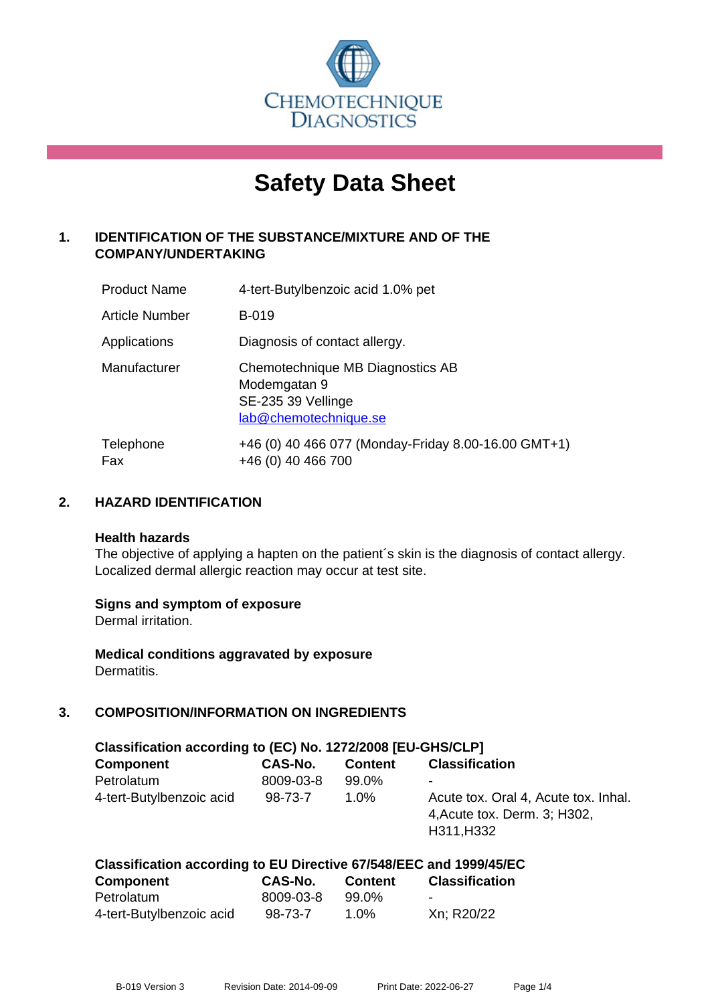

# **Safety Data Sheet**

# **1. IDENTIFICATION OF THE SUBSTANCE/MIXTURE AND OF THE COMPANY/UNDERTAKING**

| <b>Product Name</b> | 4-tert-Butylbenzoic acid 1.0% pet                                                               |
|---------------------|-------------------------------------------------------------------------------------------------|
| Article Number      | <b>B-019</b>                                                                                    |
| Applications        | Diagnosis of contact allergy.                                                                   |
| Manufacturer        | Chemotechnique MB Diagnostics AB<br>Modemgatan 9<br>SE-235 39 Vellinge<br>lab@chemotechnique.se |
| Telephone<br>Fax    | +46 (0) 40 466 077 (Monday-Friday 8.00-16.00 GMT+1)<br>+46 (0) 40 466 700                       |

# **2. HAZARD IDENTIFICATION**

#### **Health hazards**

The objective of applying a hapten on the patient's skin is the diagnosis of contact allergy. Localized dermal allergic reaction may occur at test site.

## **Signs and symptom of exposure**

Dermal irritation.

**Medical conditions aggravated by exposure** Dermatitis.

# **3. COMPOSITION/INFORMATION ON INGREDIENTS**

| Classification according to (EC) No. 1272/2008 [EU-GHS/CLP] |                |                |                                                                                    |  |
|-------------------------------------------------------------|----------------|----------------|------------------------------------------------------------------------------------|--|
| <b>Component</b>                                            | <b>CAS-No.</b> | <b>Content</b> | <b>Classification</b>                                                              |  |
| Petrolatum                                                  | 8009-03-8      | 99.0%          | -                                                                                  |  |
| 4-tert-Butylbenzoic acid                                    | 98-73-7        | $1.0\%$        | Acute tox. Oral 4, Acute tox. Inhal.<br>4, Acute tox. Derm. 3; H302,<br>H311, H332 |  |

| Classification according to EU Directive 67/548/EEC and 1999/45/EC |           |         |                       |
|--------------------------------------------------------------------|-----------|---------|-----------------------|
| <b>Component</b>                                                   | CAS-No.   | Content | <b>Classification</b> |
| Petrolatum                                                         | 8009-03-8 | 99.0%   | -                     |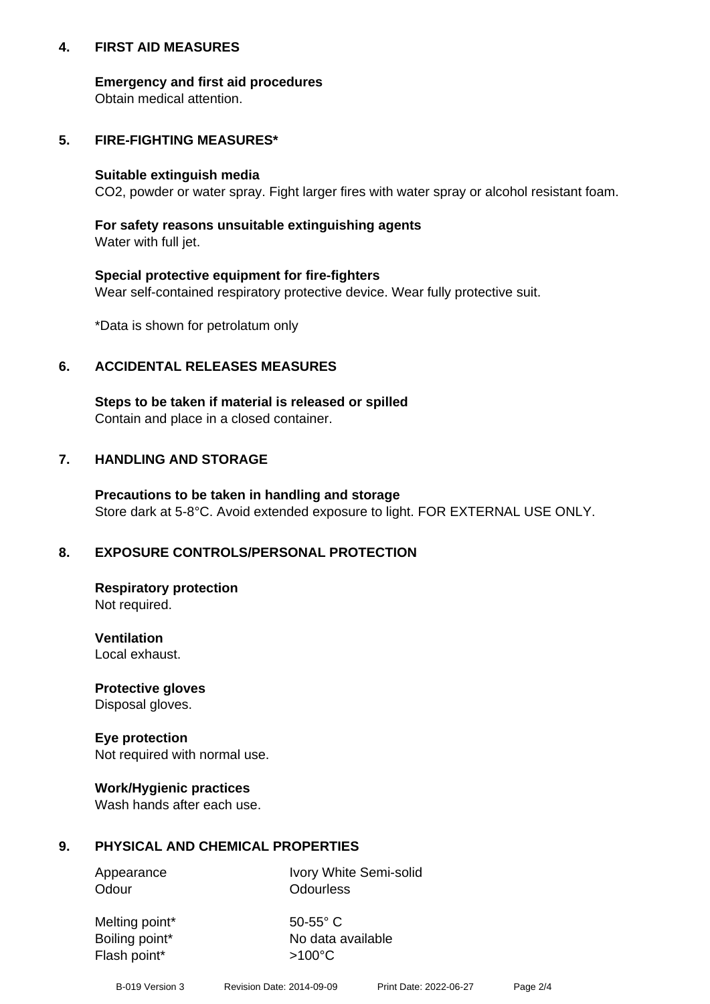## **4. FIRST AID MEASURES**

## **Emergency and first aid procedures**

Obtain medical attention.

# **5. FIRE-FIGHTING MEASURES\***

#### **Suitable extinguish media**

CO2, powder or water spray. Fight larger fires with water spray or alcohol resistant foam.

# **For safety reasons unsuitable extinguishing agents**

Water with full jet.

## **Special protective equipment for fire-fighters**

Wear self-contained respiratory protective device. Wear fully protective suit.

\*Data is shown for petrolatum only

# **6. ACCIDENTAL RELEASES MEASURES**

**Steps to be taken if material is released or spilled** Contain and place in a closed container.

# **7. HANDLING AND STORAGE**

**Precautions to be taken in handling and storage** Store dark at 5-8°C. Avoid extended exposure to light. FOR EXTERNAL USE ONLY.

# **8. EXPOSURE CONTROLS/PERSONAL PROTECTION**

**Respiratory protection** Not required.

**Ventilation** Local exhaust.

**Protective gloves** Disposal gloves.

#### **Eye protection** Not required with normal use.

## **Work/Hygienic practices**

Wash hands after each use.

## **9. PHYSICAL AND CHEMICAL PROPERTIES**

Odour **Odourless** 

Appearance Ivory White Semi-solid

Melting point\* 50-55° C Flash point\*  $>100^{\circ}$ C

Boiling point\* No data available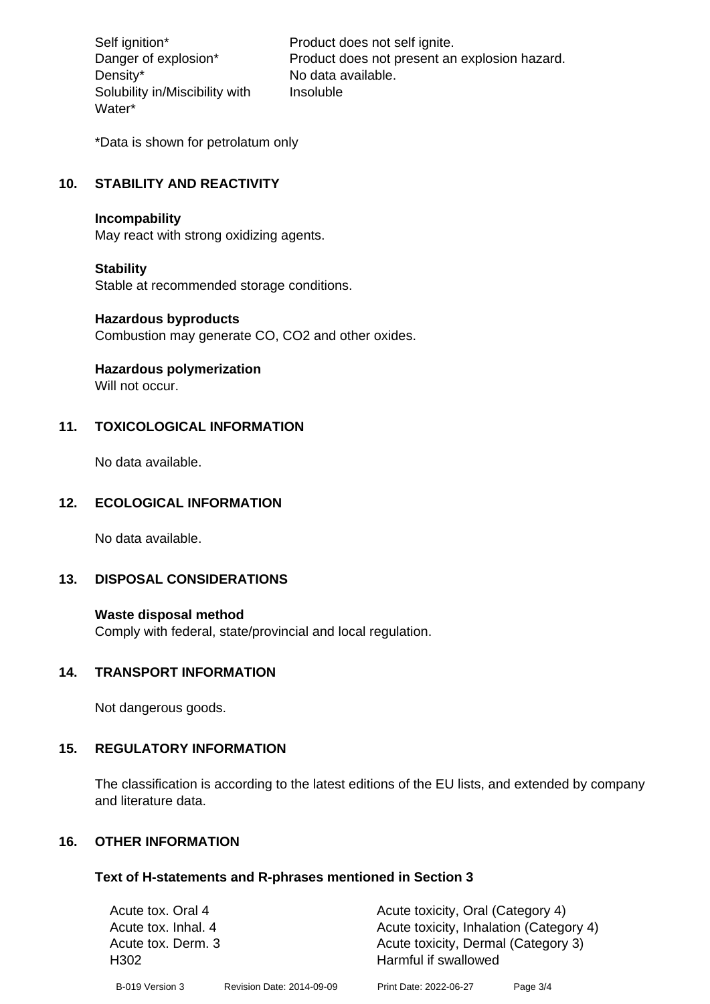Density\* No data available. Solubility in/Miscibility with Water\*

Self ignition\* Product does not self ignite. Danger of explosion\* Product does not present an explosion hazard. Insoluble

\*Data is shown for petrolatum only

# **10. STABILITY AND REACTIVITY**

#### **Incompability**

May react with strong oxidizing agents.

#### **Stability**

Stable at recommended storage conditions.

#### **Hazardous byproducts**

Combustion may generate CO, CO2 and other oxides.

**Hazardous polymerization**

Will not occur.

## **11. TOXICOLOGICAL INFORMATION**

No data available.

## **12. ECOLOGICAL INFORMATION**

No data available.

## **13. DISPOSAL CONSIDERATIONS**

#### **Waste disposal method**

Comply with federal, state/provincial and local regulation.

#### **14. TRANSPORT INFORMATION**

Not dangerous goods.

## **15. REGULATORY INFORMATION**

The classification is according to the latest editions of the EU lists, and extended by company and literature data.

#### **16. OTHER INFORMATION**

#### **Text of H-statements and R-phrases mentioned in Section 3**

| Acute tox. Oral 4   |                           | Acute toxicity, Oral (Category 4)       |          |
|---------------------|---------------------------|-----------------------------------------|----------|
| Acute tox. Inhal. 4 |                           | Acute toxicity, Inhalation (Category 4) |          |
| Acute tox. Derm. 3  |                           | Acute toxicity, Dermal (Category 3)     |          |
| H <sub>302</sub>    |                           | Harmful if swallowed                    |          |
| B-019 Version 3     | Revision Date: 2014-09-09 | Print Date: 2022-06-27                  | Page 3/4 |